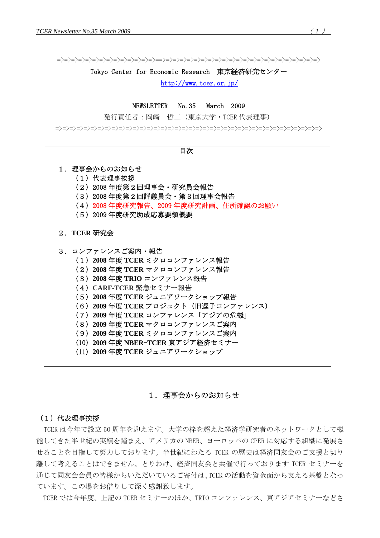=>=>=>=>=>=>=>=>=>=>=>=>=>=>==>=>=>=>=>=>=>=>=>=>=>=>=>=>=>=>=>=>=>=>=>=>=>

#### Tokyo Center for Economic Research 東京経済研究センター

<http://www.tcer.or.jp/>

NEWSLETTER No.35 March 2009

発行責任者:岡崎 哲二(東京大学・TCER 代表理事)

=>=>=>=>=>=>=>=>=>=>=>=>=>=>=>=>=>=>=>=>=>=>=>=>=>=>=>=>=>=>=>=>=>=>=>=>=>=>



# 1. 理事会からのお知らせ

#### (1)代表理事挨拶

TCER は今年で設立 50 周年を迎えます。大学の枠を超えた経済学研究者のネットワークとして機 能してきた半世紀の実績を踏まえ、アメリカの NBER、ヨーロッパの CPER に対応する組織に発展さ せることを目指して努力しております。半世紀にわたる TCER の歴史は経済同友会のご支援と切り 離して考えることはできません。とりわけ、経済同友会と共催で行っております TCER セミナーを 通じて同友会会員の皆様からいただいているご寄付は、TCER の活動を資金面から支える基盤となっ ています。この場をお借りして深く感謝致します。

TCER では今年度、上記の TCER セミナーのほか、TRIO コンファレンス、東アジアセミナーなどさ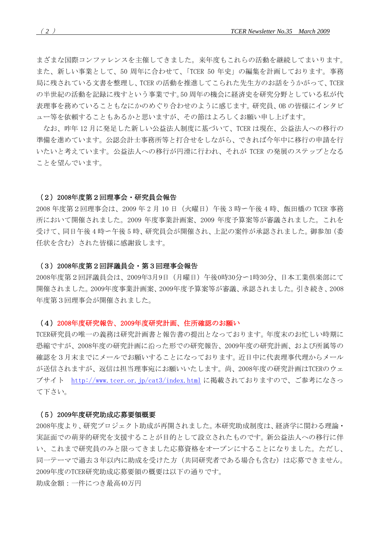まざまな国際コンファレンスを主催してきました。来年度もこれらの活動を継続してまいります。 また、新しい事業として、50 周年に合わせて、「TCER 50 年史」の編集を計画しております。事務 局に残されている文書を整理し、TCER の活動を推進してこられた先生方のお話をうかがって、TCER の半世紀の活動を記録に残すという事業です。50 周年の機会に経済史を研究分野としている私が代 表理事を務めていることもなにかのめぐり合わせのように感じます。研究員、OB の皆様にインタビ ュー等を依頼することもあるかと思いますが、その節はよろしくお願い申し上げます。

なお、昨年 12 月に発足した新しい公益法人制度に基づいて、TCER は現在、公益法人への移行の 準備を進めています。公認会計士事務所等と打合せをしながら、できれば今年中に移行の申請を行 いたいと考えています。公益法人への移行が円滑に行われ、それが TCER の発展のステップとなる ことを望んでいます。

### (2)2008年度第2回理事会・研究員会報告

2008 年度第2回理事会は、2009 年 2 月 10 日(火曜日)午後 3 時〜午後 4 時、飯田橋の TCER 事務 所において開催されました。2009 年度事業計画案、2009 年度予算案等が審議されました。これを 受けて、同日午後 4 時〜午後 5 時、研究員会が開催され、上記の案件が承認されました。御参加(委 任状を含む)された皆様に感謝致します。

#### (3)2008年度第2回評議員会・第3回理事会報告

2008年度第2回評議員会は、2009年3月9日(月曜日)午後0時30分〜1時30分、日本工業倶楽部にて 開催されました。2009年度事業計画案、2009年度予算案等が審議、承認されました。引き続き、2008 年度第3回理事会が開催されました。

#### (4)2008年度研究報告、2009年度研究計画、住所確認のお願い

TCER研究員の唯一の義務は研究計画書と報告書の提出となっております。年度末のお忙しい時期に 恐縮ですが、2008年度の研究計画に沿った形での研究報告、2009年度の研究計画、および所属等の 確認を3月末までにメールでお願いすることになっております。近日中に代表理事代理からメール が送信されますが、返信は担当理事宛にお願いいたします。尚、2008年度の研究計画はTCERのウェ ブサイト <http://www.tcer.or.jp/cat3/index.html> に掲載されておりますので、ご参考になさっ て下さい。

#### (5)2009年度研究助成応募要領概要

2008年度より、研究プロジェクト助成が再開されました。本研究助成制度は、経済学に関わる理論・ 実証面での萌芽的研究を支援することが目的として設立されたものです。新公益法人への移行に伴 い、これまで研究員のみと限ってきました応募資格をオープンにすることになりました。ただし、 同一テーマで過去3年以内に助成を受けた方(共同研究者である場合も含む)は応募できません。 2009年度のTCER研究助成応募要領の概要は以下の通りです。

助成金額:一件につき最高40万円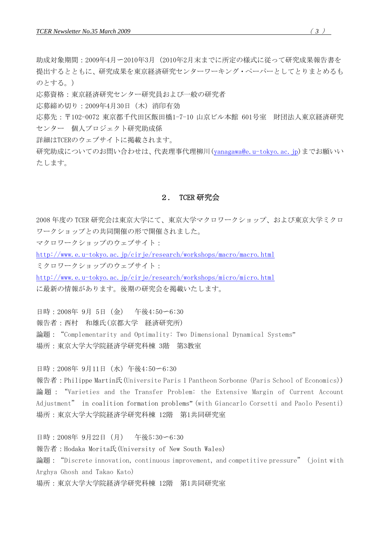助成対象期間:2009年4月〜2010年3月(2010年2月末までに所定の様式に従って研究成果報告書を 提出するとともに、研究成果を東京経済研究センターワーキング・ペーパーとしてとりまとめるも のとする。)

応募資格:東京経済研究センター研究員および一般の研究者

応募締め切り:2009年4月30日(木)消印有効

応募先:〒102-0072 東京都千代田区飯田橋1-7-10 山京ビル本館 601号室 財団法人東京経済研究 センター 個人プロジェクト研究助成係

詳細はTCERのウェブサイトに掲載されます。

研究助成についてのお問い合わせは、代表理事代理柳川[\(yanagawa@e.u-tokyo.ac.jp](mailto:yanagawa@e.u-tokyo.ac.jp))までお願いい たします。

# 2. TCER 研究会

2008 年度の TCER 研究会は東京大学にて、東京大学マクロワークショップ、および東京大学ミクロ ワークショップとの共同開催の形で開催されました。

マクロワークショップのウェブサイト:

<http://www.e.u-tokyo.ac.jp/cirje/research/workshops/macro/macro.html>

ミクロワークショップのウェブサイト:

<http://www.e.u-tokyo.ac.jp/cirje/research/workshops/micro/micro.html> に最新の情報があります。後期の研究会を掲載いたします。

日時:2008年 9月 5日(金) 午後4:50〜6:30 報告者:西村 和雄氏(京都大学 経済研究所) 論題: "Complementarity and Optimality: Two Dimensional Dynamical Systems" 場所:東京大学大学院経済学研究科棟 3階 第3教室

日時:2008年 9月11日(水)午後4:50〜6:30

報告者:Philippe Martin氏(Universite Paris 1 Pantheon Sorbonne (Paris School of Economics)) 論題:"Varieties and the Transfer Problem: the Extensive Margin of Current Account Adjustment" in coalition formation problems" (with Giancarlo Corsetti and Paolo Pesenti) 場所:東京大学大学院経済学研究科棟 12階 第1共同研究室

日時:2008年 9月22日(月) 午後5:30〜6:30 報告者:Hodaka Morita氏(University of New South Wales) 論題: "Discrete innovation, continuous improvement, and competitive pressure" (joint with Arghya Ghosh and Takao Kato) 場所:東京大学大学院経済学研究科棟 12階 第1共同研究室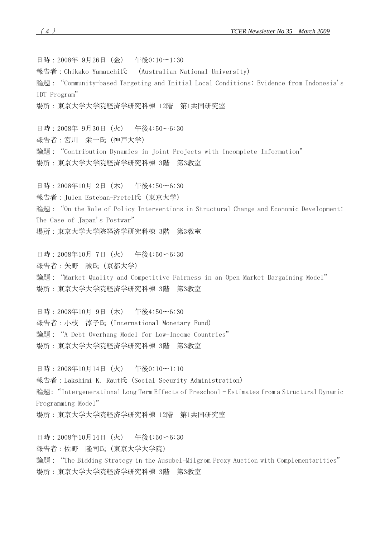日時:2008年 9月26日(金) 午後0:10〜1:30 報告者:Chikako Yamauchi氏 (Australian National University) 論題:"Community-based Targeting and Initial Local Conditions: Evidence from Indonesia's IDT Program" 場所:東京大学大学院経済学研究科棟 12階 第1共同研究室

日時:2008年 9月30日(火) 午後4:50〜6:30 報告者:宮川 栄一氏(神戸大学) 論題: "Contribution Dynamics in Joint Projects with Incomplete Information" 場所:東京大学大学院経済学研究科棟 3階 第3教室

日時:2008年10月 2日(木) 午後4:50〜6:30 報告者:Julen Esteban-Pretel氏(東京大学) 論題: "On the Role of Policy Interventions in Structural Change and Economic Development: The Case of Japan's Postwar" 場所:東京大学大学院経済学研究科棟 3階 第3教室

日時:2008年10月 7日(火) 午後4:50〜6:30 報告者:矢野 誠氏(京都大学) 論題: "Market Quality and Competitive Fairness in an Open Market Bargaining Model" 場所:東京大学大学院経済学研究科棟 3階 第3教室

日時:2008年10月 9日(木) 午後4:50〜6:30 報告者:小枝 淳子氏(International Monetary Fund) 論題: "A Debt Overhang Model for Low-Income Countries" 場所:東京大学大学院経済学研究科棟 3階 第3教室

日時:2008年10月14日(火) 午後0:10〜1:10 報告者:Lakshimi K. Raut氏(Social Security Administration) 論題: "Intergenerational Long Term Effects of Preschool - Estimates from a Structural Dynamic Programming Model" 場所:東京大学大学院経済学研究科棟 12階 第1共同研究室

日時:2008年10月14日(火) 午後4:50〜6:30 報告者:佐野 隆司氏(東京大学大学院) 論題: "The Bidding Strategy in the Ausubel-Milgrom Proxy Auction with Complementarities" 場所:東京大学大学院経済学研究科棟 3階 第3教室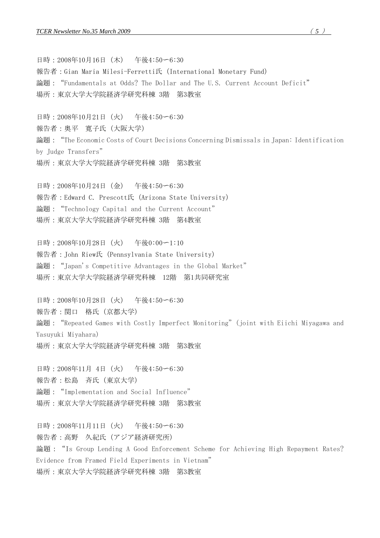日時:2008年10月16日(木) 午後4:50〜6:30 報告者:Gian Maria Milesi-Ferretti氏(International Monetary Fund) 論題:"Fundamentals at Odds? The Dollar and The U.S. Current Account Deficit" 場所:東京大学大学院経済学研究科棟 3階 第3教室

日時:2008年10月21日(火) 午後4:50〜6:30 報告者:奥平 寛子氏(大阪大学) 論題: "The Economic Costs of Court Decisions Concerning Dismissals in Japan: Identification by Judge Transfers" 場所:東京大学大学院経済学研究科棟 3階 第3教室

日時:2008年10月24日(金) 午後4:50〜6:30 報告者:Edward C. Prescott氏(Arizona State University) 論題: "Technology Capital and the Current Account" 場所:東京大学大学院経済学研究科棟 3階 第4教室

日時:2008年10月28日(火) 午後0:00〜1:10 報告者:John Riew氏(Pennsylvania State University) 論題: "Japan's Competitive Advantages in the Global Market" 場所:東京大学大学院経済学研究科棟 12階 第1共同研究室

日時:2008年10月28日(火) 午後4:50〜6:30 報告者:関口 格氏(京都大学) 論題: "Repeated Games with Costly Imperfect Monitoring" (joint with Eiichi Miyagawa and Yasuyuki Miyahara) 場所:東京大学大学院経済学研究科棟 3階 第3教室

日時:2008年11月 4日(火) 午後4:50〜6:30 報告者:松島 斉氏(東京大学) 論題: "Implementation and Social Influence" 場所:東京大学大学院経済学研究科棟 3階 第3教室

日時:2008年11月11日(火) 午後4:50〜6:30 報告者:高野 久紀氏(アジア経済研究所) 論題: "Is Group Lending A Good Enforcement Scheme for Achieving High Repayment Rates? Evidence from Framed Field Experiments in Vietnam" 場所:東京大学大学院経済学研究科棟 3階 第3教室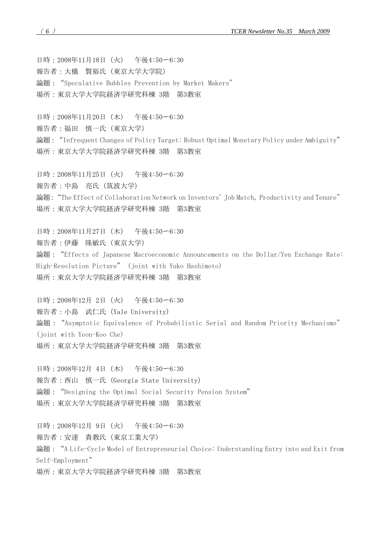日時:2008年11月18日(火) 午後4:50〜6:30 報告者:大橋 賢裕氏(東京大学大学院) 論題: "Speculative Bubbles Prevention by Market Makers" 場所:東京大学大学院経済学研究科棟 3階 第3教室

日時:2008年11月20日(木) 午後4:50〜6:30 報告者:福田 慎一氏(東京大学) 論題: "Infrequent Changes of Policy Target: Robust Optimal Monetary Policy under Ambiguity" 場所:東京大学大学院経済学研究科棟 3階 第3教室

日時:2008年11月25日(火) 午後4:50〜6:30 報告者:中島 亮氏(筑波大学) 論題: "The Effect of Collaboration Network on Inventors' Job Match, Productivity and Tenure" 場所:東京大学大学院経済学研究科棟 3階 第3教室

日時:2008年11月27日(木) 午後4:50〜6:30 報告者:伊藤 隆敏氏(東京大学) 論題: "Effects of Japanese Macroeconomic Announcements on the Dollar/Yen Exchange Rate: High-Resolution Picture" (joint with Yuko Hashimoto) 場所:東京大学大学院経済学研究科棟 3階 第3教室

日時:2008年12月 2日(火) 午後4:50〜6:30 報告者:小島 武仁氏(Yale University) 論題: "Asymptotic Equivalence of Probabilistic Serial and Random Priority Mechanisms" (joint with Yeon-Koo Che) 場所:東京大学大学院経済学研究科棟 3階 第3教室

日時:2008年12月 4日(木) 午後4:50〜6:30 報告者:西山 慎一氏(Georgia State University) 論題: "Designing the Optimal Social Security Pension System" 場所:東京大学大学院経済学研究科棟 3階 第3教室

日時:2008年12月 9日(火) 午後4:50〜6:30 報告者:安達 貴教氏(東京工業大学) 論題: "A Life-Cycle Model of Entrepreneurial Choice: Understanding Entry into and Exit from Self-Employment"

場所:東京大学大学院経済学研究科棟 3階 第3教室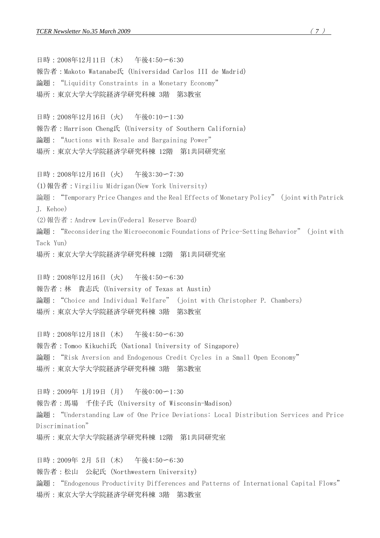#### *TCER Newsletter No.35 March 2009* ( *7* )

日時:2008年12月11日(木) 午後4:50〜6:30 報告者:Makoto Watanabe氏(Universidad Carlos III de Madrid) 論題: "Liquidity Constraints in a Monetary Economy" 場所:東京大学大学院経済学研究科棟 3階 第3教室

日時:2008年12月16日(火) 午後0:10〜1:30 報告者:Harrison Cheng氏(University of Southern California) 論題: "Auctions with Resale and Bargaining Power" 場所:東京大学大学院経済学研究科棟 12階 第1共同研究室

日時:2008年12月16日(火) 午後3:30〜7:30 (1)報告者:Virgiliu Midrigan(New York University) 論題:"Temporary Price Changes and the Real Effects of Monetary Policy" (joint with Patrick J. Kehoe) (2)報告者:Andrew Levin(Federal Reserve Board) 論題:"Reconsidering the Microeconomic Foundations of Price-Setting Behavior" (joint with Tack Yun)

場所:東京大学大学院経済学研究科棟 12階 第1共同研究室

日時:2008年12月16日(火) 午後4:50〜6:30 報告者:林 貴志氏(University of Texas at Austin) 論題: "Choice and Individual Welfare" (joint with Christopher P. Chambers) 場所:東京大学大学院経済学研究科棟 3階 第3教室

日時:2008年12月18日(木) 午後4:50〜6:30 報告者:Tomoo Kikuchi氏(National University of Singapore) 論題: "Risk Aversion and Endogenous Credit Cycles in a Small Open Economy" 場所:東京大学大学院経済学研究科棟 3階 第3教室

日時:2009年 1月19日(月) 午後0:00〜1:30 報告者:馬場 千佳子氏(University of Wisconsin-Madison) 論題:"Understanding Law of One Price Deviations: Local Distribution Services and Price Discrimination" 場所:東京大学大学院経済学研究科棟 12階 第1共同研究室

日時:2009年 2月 5日(木) 午後4:50〜6:30 報告者:松山 公紀氏(Northwestern University) 論題: "Endogenous Productivity Differences and Patterns of International Capital Flows" 場所:東京大学大学院経済学研究科棟 3階 第3教室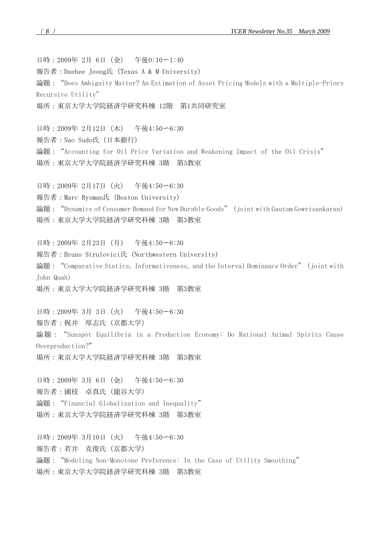日時:2009年 2月 6日(金) 午後0:10〜1:40 報告者:Daehee Jeong氏(Texas A & M University) 論題:"Does Ambiguity Matter? An Estimation of Asset Pricing Models with a Multiple-Priors Recursive Utility" 場所:東京大学大学院経済学研究科棟 12階 第1共同研究室

日時:2009年 2月12日(木) 午後4:50〜6:30 報告者:Nao Sudo氏(日本銀行) 論題:"Accounting for Oil Price Variation and Weakening Impact of the Oil Crisis" 場所:東京大学大学院経済学研究科棟 3階 第3教室

日時:2009年 2月17日(火) 午後4:50〜6:30 報告者:Marc Rysman氏(Boston University) 論題: "Dynamics of Consumer Demand for New Durable Goods" (joint with Gautam Gowrisankaran) 場所:東京大学大学院経済学研究科棟 3階 第3教室

日時:2009年 2月23日(月) 午後4:50〜6:30 報告者:Bruno Strulovici氏(Northwestern University) 論題: "Comparative Statics, Informativeness, and the Interval Dominance Order" (joint with John Quah) 場所:東京大学大学院経済学研究科棟 3階 第3教室

日時:2009年 3月 3日(火) 午後4:50〜6:30 報告者:梶井 厚志氏(京都大学) 論題: "Sunspot Equilibria in a Production Economy: Do Rational Animal Spirits Cause Overproduction?" 場所:東京大学大学院経済学研究科棟 3階 第3教室

日時:2009年 3月 6日(金) 午後4:50〜6:30 報告者:國枝 卓真氏(龍谷大学) 論題: "Financial Globalization and Inequality" 場所:東京大学大学院経済学研究科棟 3階 第3教室

日時:2009年 3月10日(火) 午後4:50〜6:30 報告者:若井 克俊氏(京都大学) 論題: "Modeling Non-Monotone Preference: In the Case of Utility Smoothing" 場所:東京大学大学院経済学研究科棟 3階 第3教室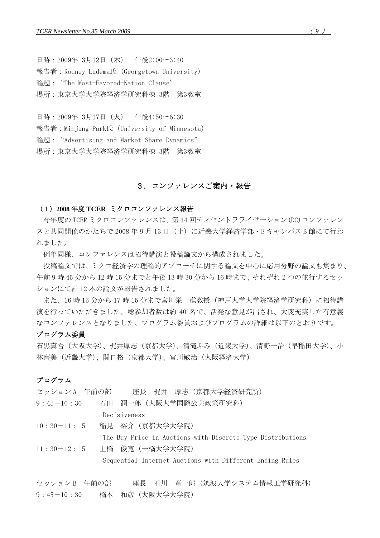日時:2009年 3月12日(木) 午後2:00〜3:40 報告者:Rodney Ludema氏(Georgetown University) 論題:"The Most-Favored-Nation Clause" 場所:東京大学大学院経済学研究科棟 3階 第3教室

日時:2009年 3月17日(火) 午後4:50〜6:30 報告者:Minjung Park氏(University of Minnesota) 論題: "Advertising and Market Share Dynamics" 場所:東京大学大学院経済学研究科棟 3階 第3教室

# 3.コンファレンスご案内・報告

#### (1)**2008** 年度 **TCER** ミクロコンファレンス報告

今年度の TCER ミクロコンファレンスは、第 14 回ディセントラライゼーション(DC)コンファレン スと共同開催のかたちで 2008 年 9 月 13 日(土)に近畿大学経済学部・E キャンパス B 館にて行わ れました。

例年同様、コンファレンスは招待講演と投稿論文から構成されました。

 投稿論文では、ミクロ経済学の理論的アプローチに関する論文を中心に応用分野の論文も集まり、 午前 9 時 45 分から 12 時 15 分までと午後 13 時 30 分から 16 時まで、それぞれ 2 つの並行するセッ ションにて計 12 本の論文が報告されました。

 また、16 時 15 分から 17 時 15 分まで宮川栄一准教授(神戸大学大学院経済学研究科)に招待講 演を行っていただきました。総参加者数は約 40 名で、活発な意見が出され、大変充実した有意義 なコンファレンスとなりました。プログラム委員およびプログラムの詳細は以下のとおりです。

#### プログラム委員

石黒真吾(大阪大学)、梶井厚志(京都大学)、清滝ふみ(近畿大学)、清野一治(早稲田大学)、小 林磨美(近畿大学)、関口格(京都大学)、宮川敏治(大阪経済大学)

## プログラム

| 石田 潤一郎(大阪大学国際公共政策研究科)<br>Decisiveness<br>稲見 裕介 (京都大学大学院)<br>The Buy Price in Auctions with Discrete Type Distributions<br>土橋 俊寛 (一橋大学大学院)<br>Sequential Internet Auctions with Different Ending Rules |               | セッションA 午前の部 座長 梶井 厚志 (京都大学経済研究所) |
|-------------------------------------------------------------------------------------------------------------------------------------------------------------------------------------------------------|---------------|----------------------------------|
|                                                                                                                                                                                                       | $9:45-10:30$  |                                  |
|                                                                                                                                                                                                       |               |                                  |
|                                                                                                                                                                                                       | $10:30-11:15$ |                                  |
|                                                                                                                                                                                                       |               |                                  |
|                                                                                                                                                                                                       | $11:30-12:15$ |                                  |
|                                                                                                                                                                                                       |               |                                  |

セッション B 午前の部 座長 石川 竜一郎(筑波大学システム情報工学研究科) 9:45-10:30 橋本 和彦(大阪大学大学院)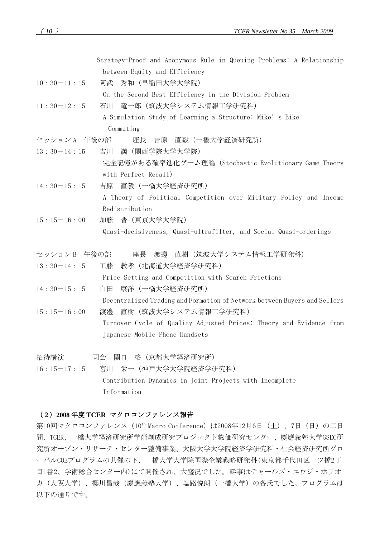Strategy-Proof and Anonymous Rule in Queuing Problems: A Relationship between Equity and Efficiency

- 10:30-11:15 阿武 秀和(早稲田大学大学院) On the Second Best Efficiency in the Division Problem
- 11:30-12:15 石川 竜一郎(筑波大学システム情報工学研究科) A Simulation Study of Learning a Structure: Mike's Bike Commuting
- セッション A 午後の部 座長 吉原 直毅(一橋大学経済研究所)
- 13:30-14:15 吉川 満(関西学院大学大学院) 完全記憶がある確率進化ゲーム理論(Stochastic Evolutionary Game Theory with Perfect Recall)
- 14:30-15:15 吉原 直毅(一橋大学経済研究所) A Theory of Political Competition over Military Policy and Income Redistribution
- 15:15-16:00 加藤 晋(東京大学大学院) Quasi-decisiveness, Quasi-ultrafilter, and Social Quasi-orderings
- セッション B 午後の部 座長 渡邊 直樹(筑波大学システム情報工学研究科)
- 13:30-14:15 工藤 教孝(北海道大学経済学研究科) Price Setting and Competition with Search Frictions 14:30-15:15 白田 康洋(一橋大学経済研究所)

 Decentralized Trading and Formation of Network between Buyers and Sellers 15:15-16:00 渡邊 直樹(筑波大学システム情報工学研究科)

- Turnover Cycle of Quality Adjusted Prices: Theory and Evidence from Japanese Mobile Phone Handsets
- 招待講演 司会 関口 格(京都大学経済研究所)

16:15-17:15 宮川 栄一(神戸大学大学院経済学研究科) Contribution Dynamics in Joint Projects with Incomplete Information

## (2)**2008** 年度 **TCER** マクロコンファレンス報告

第10回マクロコンファレンス (10<sup>th</sup> Macro Conference) は2008年12月6日(土)、7日(日)の二日 間、TCER、一橋大学経済研究所学術創成研究プロジェクト物価研究センター、慶應義塾大学GSEC研 究所オープン・リサーチ・センター整備事業、大阪大学大学院経済学研究科・社会経済研究所グロ ーバルCOEプログラムの共催の下、一橋大学大学院国際企業戦略研究科(東京都千代田区一ツ橋2丁 目1番2、学術総合センター内)にて開催され、大盛況でした。幹事はチャールズ・ユウジ・ホリオ カ(大阪大学)、櫻川昌哉(慶應義塾大学)、塩路悦朗(一橋大学)の各氏でした。プログラムは 以下の通りです。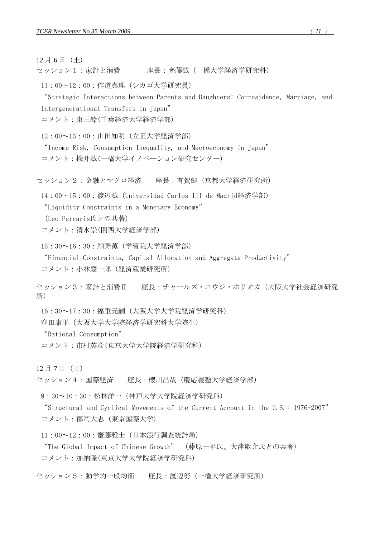12 月 6 日(土)

セッション1:家計と消費 座長:齊藤誠(一橋大学経済学研究科)

11:00~12:00:作道真理(シカゴ大学研究員)

["Strategic Interactions between Parents and Daughters: Co-residence, Marriage, and](http://www.ier.hit-u.ac.jp/%7Eifd/doc/MC2008-1.pdf)  [Intergenerational Transfers in Japan"](http://www.ier.hit-u.ac.jp/%7Eifd/doc/MC2008-1.pdf)

[コメント:東三鈴](http://www.ier.hit-u.ac.jp/%7Eifd/doc/MC2008-1-1.pdf)(千葉経済大学経済学部)

12:00~13:00:山田知明(立正大学経済学部)

["Income Risk, Consumption Inequality, and Macroeconomy in Japan"](http://www.ier.hit-u.ac.jp/%7Eifd/doc/MC2008-2.pdf) [コメント:楡井誠](http://www.ier.hit-u.ac.jp/%7Eifd/doc/MC2008-2-1.pdf)(一橋大学イノベーション研究センター)

セッション2:金融とマクロ経済 座長:有賀健(京都大学経済研究所)

14:00~15:00:渡辺誠(Universidad Carlos III de Madrid経済学部)

["Liquidity Constraints in a Monetary Economy"](http://www.ier.hit-u.ac.jp/%7Eifd/doc/MC2008-3.pdf)

(Leo Ferraris氏との共著)

[コメント:清水崇](http://www.ier.hit-u.ac.jp/%7Eifd/doc/MC2008-3-1.pdf)(関西大学経済学部)

15:30~16:30:細野薫(学習院大学経済学部)

["Financial Constraints, Capital Allocation and Aggregate Productivity"](http://www.ier.hit-u.ac.jp/%7Eifd/doc/MC2008-4.pdf)

[コメント:小林慶一郎](http://www.ier.hit-u.ac.jp/%7Eifd/doc/MC2008-4-1.pdf)(経済産業研究所)

セッション3:家計と消費Ⅱ 座長:チャールズ・ユウジ・ホリオカ(大阪大学社会経済研究 所)

16:30~17:30:福重元嗣(大阪大学大学院経済学研究科)

窪田康平(大阪大学大学院経済学研究科大学院生)

["Rational Consumption"](http://www.ier.hit-u.ac.jp/%7Eifd/doc/MC2008-5.pdf)

[コメント:市村英彦](http://www.ier.hit-u.ac.jp/%7Eifd/doc/MC2008-5-1.pdf)(東京大学大学院経済学研究科)

12 月 7 日(日)

セッション4:国際経済 座長:櫻川昌哉(慶応義塾大学経済学部)

9:30~10:30:松林洋一(神戸大学大学院経済学研究科)

["Structural and Cyclical Movements of the Current Account in the U.S.: 1976-2007"](http://www.ier.hit-u.ac.jp/%7Eifd/doc/MC2008-6.pdf) [コメント:郡司大志](http://www.ier.hit-u.ac.jp/%7Eifd/doc/MC2008-6-1.pdf) (東京国際大学)

11:00~12:00:齋藤雅士(日本銀行調査統計局)

["The Global Impact of Chinese Growth"](http://www.ier.hit-u.ac.jp/%7Eifd/doc/MC2008-7.pdf) (藤原一平氏、大津敬介氏との共著) [コメント:加納隆](http://www.ier.hit-u.ac.jp/%7Eifd/doc/MC2008-7-1.pdf)(東京大学大学院経済学研究科)

セッション5:動学的一般均衡 座長:渡辺努(一橋大学経済研究所)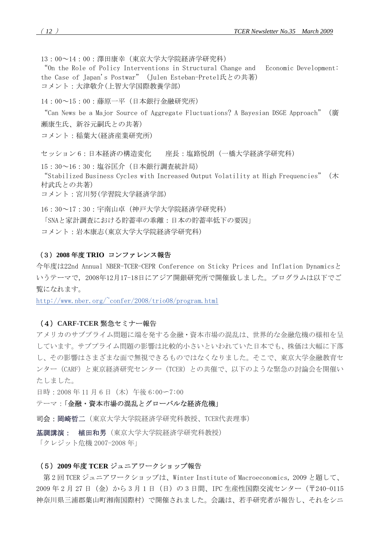13:00~14:00:澤田康幸(東京大学大学院経済学研究科)

["On the Role of Policy Interventions in Structural Change and Economic Development:](http://www.ier.hit-u.ac.jp/%7Eifd/doc/MC2008-8.pdf)  [the Case of Japan's Postwar"\(](http://www.ier.hit-u.ac.jp/%7Eifd/doc/MC2008-8.pdf)Julen Esteban-Pretel氏との共著) [コメント:大津敬介](http://www.ier.hit-u.ac.jp/%7Eifd/doc/MC2008-8-1.pdf)(上智大学国際教養学部)

14:00~15:00:藤原一平(日本銀行金融研究所)

["Can News be a Major Source of Aggregate Fluctuations? A Bayesian DSGE Approach"\(](http://www.ier.hit-u.ac.jp/%7Eifd/doc/MC2008-9.pdf)廣 瀬康生氏、新谷元嗣氏との共著)

[コメント:稲葉大](http://www.ier.hit-u.ac.jp/%7Eifd/doc/MC2008-9-1.pdf)(経済産業研究所)

セッション 6:日本経済の構造変化 座長:塩路悦朗(一橋大学経済学研究科)

15:30~16:30:塩谷匡介(日本銀行調査統計局) ["Stabilized Business Cycles with Increased Output Volatility at High Frequencies"](http://www.ier.hit-u.ac.jp/%7Eifd/doc/MC2008-10.pdf) (木 村武氏との共著)

[コメント:宮川努](http://www.ier.hit-u.ac.jp/%7Eifd/doc/MC2008-10-1.pdf)(学習院大学経済学部)

16:30~17:30:宇南山卓(神戸大学大学院経済学研究科)

[「SNAと家計調査における貯蓄率の乖離:日本の貯蓄率低下の要因」](http://www.ier.hit-u.ac.jp/%7Eifd/doc/MC2008-11.pdf)

[コメント:岩本康志](http://www.ier.hit-u.ac.jp/%7Eifd/doc/MC2008-11-1.pdf)(東京大学大学院経済学研究科)

### (3)**2008** 年度 **TRIO** コンファレンス報告

今年度は22nd Annual NBER-TCER-CEPR Conference on Sticky Prices and Inflation Dynamicsと いうテーマで,2008年12月17-18日にアジア開銀研究所で開催致しました。プログラムは以下でご 覧になれます。

http://www.nber.org/ $\text{confer}/2008/\text{trio}08/\text{program}$ .html

### (4)**CARF-TCER** 緊急セミナー報告

アメリカのサブプライム問題に端を発する金融・資本市場の混乱は、世界的な金融危機の様相を呈 しています。サブプライム問題の影響は比較的小さいといわれていた日本でも、株価は大幅に下落 し、その影響はさまざまな面で無視できるものではなくなりました。そこで、東京大学金融教育セ ンター(CARF)と東京経済研究センター(TCER)との共催で、以下のような緊急の討論会を開催い たしました。

日時:2008 年 11 月 6 日(木)午後 6:00〜7:00

テーマ:「金融・資本市場の混乱とグローバルな経済危機」

司会:岡崎哲二(東京大学大学院経済学研究科教授、TCER代表理事) 

基調講演: 植田和男(東京大学大学院経済学研究科教授)

「クレジット危機 2007-2008 年」

### (5)**2009** 年度 **TCER** ジュニアワークショップ報告

第 2 回 TCER ジュニアワークショップは、Winter Institute of Macroeconomics, 2009 と題して、 2009 年 2 月 27 日(金)から 3 月 1 日(日)の 3 日間、IPC 生産性国際交流センター(〒240-0115 神奈川県三浦郡葉山町湘南国際村)で開催されました。会議は、若手研究者が報告し、それをシニ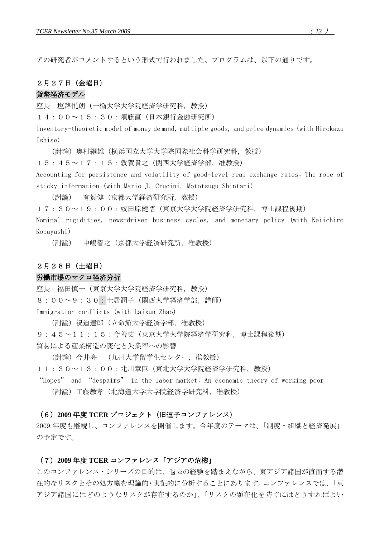アの研究者がコメントするという形式で行われました。プログラムは、以下の通りです。

### 2月27日(金曜日)

## 貨幣経済モデル

座長 塩路悦朗(一橋大学大学院経済学研究科,教授)

14:00~15:30:須藤直(日本銀行金融研究所)

Inventory-theoretic model of money demand, multiple goods, and price dynamics (with Hirokazu Ishise)

(討論)奥村綱雄(横浜国立大学大学院国際社会科学研究科,教授)

15:45~17:15:敦賀貴之(関西大学経済学部,准教授)

Accounting for persistence and volatility of good-level real exchange rates: The role of sticky information (with Mario J. Crucini, Mototsugu Shintani)

(討論) 有賀健(京都大学経済研究所,教授)

17:30~19:00:奴田原健悟(東京大学大学院経済学研究科,博士課程後期)

Nominal rigidities, news-driven business cycles, and monetary policy (with Keiichiro Kobayashi)

(討論) 中嶋智之(京都大学経済研究所,准教授)

## 2月28日(土曜日)

## 労働市場のマクロ経済分析

座長 福田慎一(東京大学大学院経済学研究科,教授)

8:00~9:30:土居潤子(関西大学経済学部,講師)

Immigration conflicts (with Laixun Zhao)

(討論)祝迫達郎(立命館大学経済学部,准教授)

9:45~11:15:今善史(東京大学大学院経済学研究科,博士課程後期)

貿易による産業構造の変化と失業率への影響

(討論)今井亮一(九州大学留学生センター,准教授)

11:30~13:00:北川章臣(東北大学大学院経済学研究科,教授)

"Hopes" and "despairs" in the labor market: An economic theory of working poor (討論)工藤教孝(北海道大学大学院経済学研究科,准教授)

### (6)**2009** 年度 **TCER** プロジェクト(旧逗子コンファレンス)

2009 年度も継続し、コンファレンスを開催します。今年度のテーマは、「制度・組織と経済発展」 の予定です。

## (7)**2009** 年度 **TCER** コンファレンス「アジアの危機」

このコンファレンス・シリーズの目的は、過去の経験を踏まえながら、東アジア諸国が直面する潜 在的なリスクとその処方箋を理論的・実証的に分析することにあります。コンファレンスでは、「東 アジア諸国にはどのようなリスクが存在するのか」、「リスクの顕在化を防ぐにはどうすればよい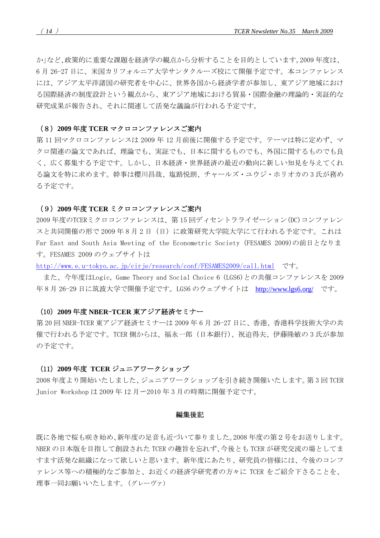か」など、政策的に重要な課題を経済学の観点から分析することを目的としています。2009 年度は、 6 月 26-27 日に、米国カリフォルニア大学サンタクルーズ校にて開催予定です。本コンファレンス には、アジア太平洋諸国の研究者を中心に、世界各国から経済学者が参加し、東アジア地域におけ る国際経済の制度設計という観点から、東アジア地域における貿易・国際金融の理論的・実証的な 研究成果が報告され、それに関連して活発な議論が行われる予定です。

#### (8)**2009** 年度 **TCER** マクロコンファレンスご案内

第 11 回マクロコンファレンスは 2009 年 12 月前後に開催する予定です。テーマは特に定めず、マ クロ関連の論文であれば、理論でも、実証でも、日本に関するものでも、外国に関するものでも良 く、広く募集する予定です。しかし、日本経済・世界経済の最近の動向に新しい知見を与えてくれ る論文を特に求めます。幹事は櫻川昌哉、塩路悦朗、チャールズ・ユウジ・ホリオカの 3 氏が務め る予定です。

### (9)**2009** 年度 **TCER** ミクロコンファレンスご案内

2009 年度のTCERミクロコンファレンスは、第 15 回ディセントラライゼーション(DC)コンファレン スと共同開催の形で 2009 年8月2日(日)に政策研究大学院大学にて行われる予定です。これは Far East and South Asia Meeting of the Econometric Society (FESAMES 2009)の前日となりま す。FESAMES 2009 のウェブサイトは

<http://www.e.u-tokyo.ac.jp/cirje/research/conf/FESAMES2009/call.html>です。

 また、今年度はLogic, Game Theory and Social Choice 6 (LGS6)との共催コンファレンスを 2009 年 8 月 26-29 日に筑波大学で開催予定です。LGS6 のウェブサイトは <http://www.lgs6.org/> です。

#### (10)**2009** 年度 **NBER**-**TCER** 東アジア経済セミナー

第 20 回 NBER-TCER 東アジア経済セミナーは 2009 年 6 月 26-27 日に、香港、香港科学技術大学の共 催で行われる予定です。TCER 側からは、福永一郎 (日本銀行)、祝迫得夫、伊藤隆敏の 3 氏が参加 の予定です。

#### (11)**2009** 年度 **TCER** ジュニアワークショップ

2008 年度より開始いたしました、ジュニアワークショップを引き続き開催いたします。第 3 回 TCER Junior Workshop は 2009 年 12 月〜2010 年 3 月の時期に開催予定です。

#### 編集後記

既に各地で桜も咲き始め、新年度の足音も近づいて参りました。2008 年度の第2号をお送りします。 NBER の日本版を目指して創設された TCER の趣旨を忘れず、今後とも TCER が研究交流の場としてま すます活発な組織になって欲しいと思います。新年度にあたり、研究員の皆様には、今後のコンフ ァレンス等への積極的なご参加と、お近くの経済学研究者の方々に TCER をご紹介下さることを、 理事一同お願いいたします。(グレーヴァ)